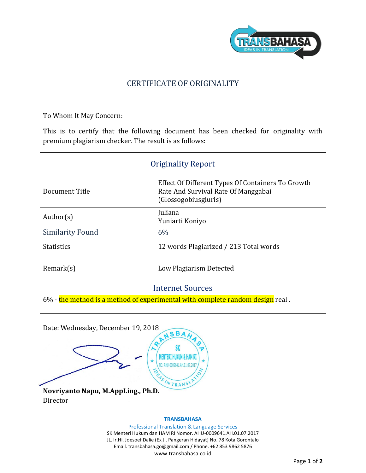

## CERTIFICATE OF ORIGINALITY

To Whom It May Concern:

This is to certify that the following document has been checked for originality with premium plagiarism checker. The result is as follows:

| <b>Originality Report</b>                                                     |                                                                                                                  |
|-------------------------------------------------------------------------------|------------------------------------------------------------------------------------------------------------------|
| Document Title                                                                | Effect Of Different Types Of Containers To Growth<br>Rate And Survival Rate Of Manggabai<br>(Glossogobiusgiuris) |
| Author( $s$ )                                                                 | Juliana<br>Yuniarti Koniyo                                                                                       |
| <b>Similarity Found</b>                                                       | 6%                                                                                                               |
| <b>Statistics</b>                                                             | 12 words Plagiarized / 213 Total words                                                                           |
| Remark(s)                                                                     | Low Plagiarism Detected                                                                                          |
| <b>Internet Sources</b>                                                       |                                                                                                                  |
| 6% - the method is a method of experimental with complete random design real. |                                                                                                                  |

Date: Wednesday, December 19, 2018

NSBA Q SK **MENTERI HUKUM &** NO. AHU-0009641.AH.01.0 **Novriyanto Napu, M.AppLing., Ph.D.**

Director

## **TRANSBAHASA**

Professional Translation & Language Services SK Menteri Hukum dan HAM RI Nomor. AHU-0009641.AH.01.07.2017 JL. Ir.Hi. Joesoef Dalie (Ex Jl. Pangeran Hidayat) No. 78 Kota Gorontalo Email. transbahasa.go@gmail.com / Phone. +62 853 9862 5876 www.transbahasa.co.id